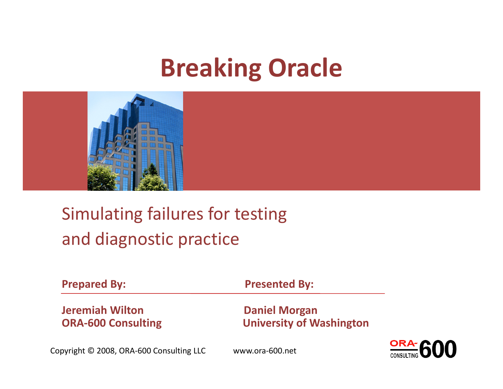#### Breaking Oracle



#### Simulating failures for testingand diagnostic practice

| <b>Prepared By:</b>       | <b>Presented By:</b>            |
|---------------------------|---------------------------------|
| <b>Jeremiah Wilton</b>    | <b>Daniel Morgan</b>            |
| <b>ORA-600 Consulting</b> | <b>University of Washington</b> |

Copyright © 2008, ORA-600 Consulting LLC www.ora-600.net

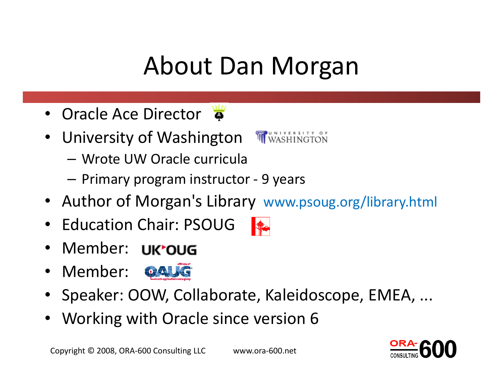## About Dan Morgan

- Oracle Ace Director
- University of Washington
	- –Wrote UW Oracle curricula
	- –— Primary program instructor - 9 years
- Author of Morgan's Library www.psoug.org/library.html
- Education Chair: PSOUG
- Member:
- Member:
- Speaker: OOW, Collaborate, Kaleidoscope, EMEA, ...
- Working with Oracle since version 6





 $\frac{1}{\sqrt{2}}$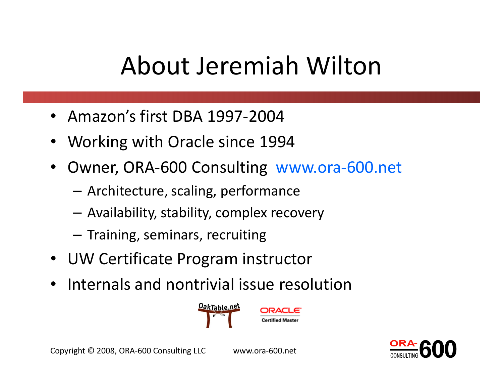## About Jeremiah Wilton

- •Amazon's first DBA 1997-2004
- •Working with Oracle since 1994
- • Owner, ORA-600 Consulting www.ora-600.net
	- –Architecture, scaling, performance
	- –Availability, stability, complex recovery
	- – $-$  Training, seminars, recruiting
- UW Certificate Program instructor
- $\bullet$ Internals and nontrivial issue resolution



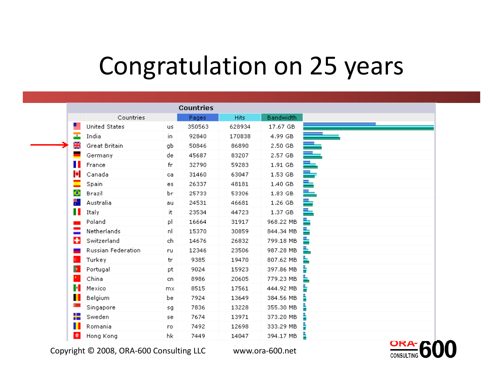#### Congratulation on 25 years

|    |                      |           | <b>Countries</b> |             |                  |    |
|----|----------------------|-----------|------------------|-------------|------------------|----|
|    | Countries            |           | Pages            | <b>Hits</b> | <b>Bandwidth</b> |    |
|    | <b>United States</b> | <b>US</b> | 350563           | 628934      | 17.67 GB         |    |
| ÷  | India                | in.       | 92840            | 170838      | 4.99 GB          |    |
| 黑  | Great Britain        | gЬ        | 50846            | 86890       | 2.50 GB          |    |
|    | Germany              | de.       | 45687            | 83207       | 2.57 GB          |    |
|    | France               | fr        | 32790            | 59283       | 1.91 GB          |    |
|    | Canada               | ca        | 31460            | 63047       | 1.53 GB          | ⇒  |
|    | Spain                | es.       | 26337            | 48181       | 1.40 GB          | ⇒  |
| ♦  | Brazil               | Ьr        | 25733            | 53306       | 1.83 GB          | ══ |
| 鬱  | Australia            | au.       | 24531            | 46681       | 1.26 GB          | ⇛  |
| Ш  | Italy                | it.       | 23534            | 44723       | 1.37 GB          | ≐  |
|    | Poland               | рI        | 16664            | 31917       | 968.22 MB        | ≞  |
|    | Netherlands          | nl.       | 15370            | 30859       | 844.34 MB        | ≞  |
| ÷  | Switzerland          | ch,       | 14676            | 26832       | 799.18 MB        | ≞  |
|    | Russian Federation   | ru        | 12346            | 23506       | 987.28 MB        | ⊾  |
| C. | Turkey               | tr        | 9385             | 19470       | 807.62 MB        | ⊾  |
| 樂  | Portugal             | pt        | 9024             | 15923       | 397.86 MB        | ÷  |
|    | China                | cn.       | 8986             | 20605       | 779.23 MB        | ь  |
| H  | Mexico               | mx.       | 8515             | 17561       | 444.92 MB        | Þ  |
|    | Belgium              | bе        | 7924             | 13649       | 384.56 MB        |    |
|    | Singapore            | sg        | 7836             | 13228       | 355.30 MB        | ÷  |
|    | Sweden               | se.       | 7674             | 13971       | 373.20 MB        | ÷  |
|    | Romania              | ro.       | 7492             | 12698       | 333.29 MB        |    |
| ×. | Hong Kong            | hk        | 7449             | 14047       | 394.17 MB        |    |

Copyright © 2008, ORA-600 Consulting LLC www.ora-600.net

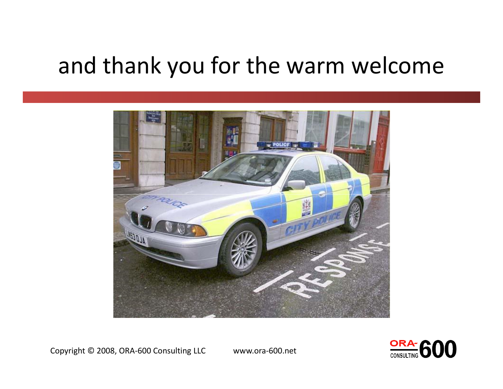#### and thank you for the warm welcome



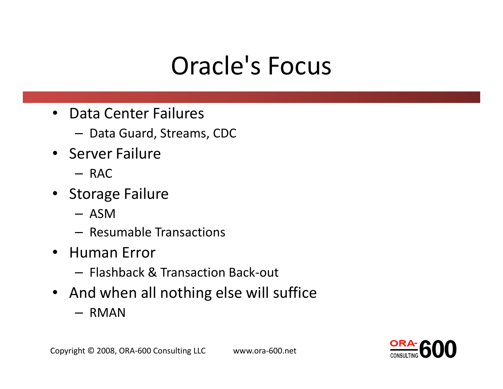## Oracle's Focus

- Data Center Failures
	- $-$  Data Guard, Streams, CDC
- Server Failure
	- RAC
- Storage Failure
	- ASM
	- – $-$  Resumable Transactions
- Human Error
	- $-$  Flashback & Transaction Back-out
- And when all nothing else will suffice
	- RMAN

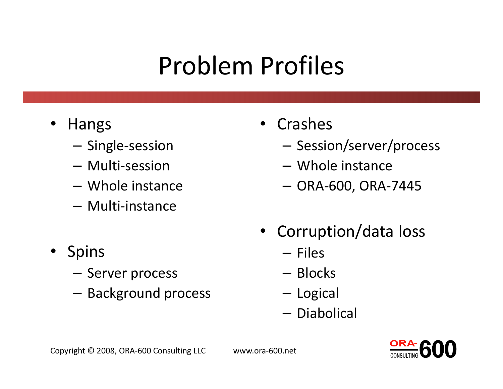## Problem Profiles

- • Hangs
	- – $-$  Single-session
	- –Multi-session
	- –Whole instance
	- –Multi-instance
- Spins
	- Server process
	- – $-$  Background process
- Crashes
	- – $-$  Session/server/process
	- –Whole instance
	- ORA-600, ORA-7445
- Corruption/data loss
	- –— Files
	- –— Blocks
	- –— Logical
	- –— Diabolical

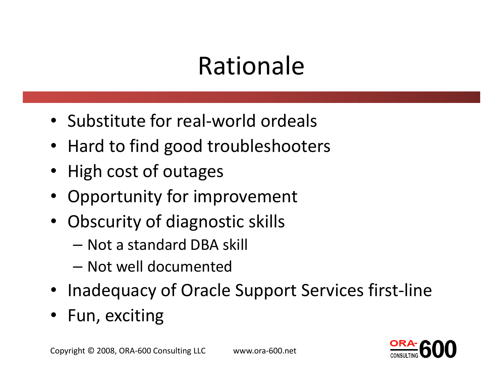#### Rationale

- Substitute for real-world ordeals
- Hard to find good troubleshooters
- High cost of outages
- •Opportunity for improvement
- $\bullet$  Obscurity of diagnostic skills
	- Not a standard DBA skill
	- $-$  Not well documented
- Inadequacy of Oracle Support Services first-line
- •Fun, exciting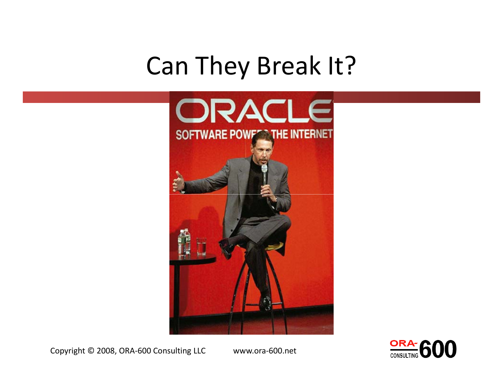#### Can They Break It?





Copyright © 2008, ORA-600 Consulting LLC www.ora-600.net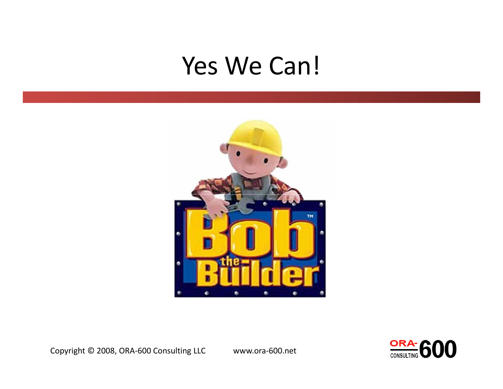#### Yes We Can!

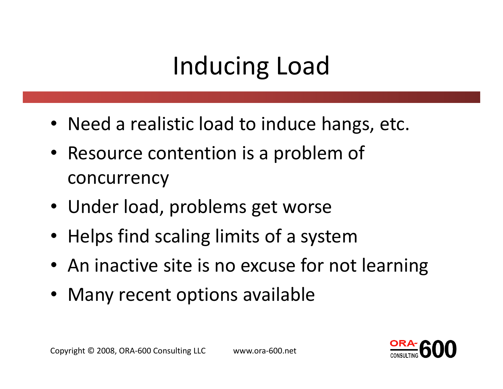## Inducing Load

- Need a realistic load to induce hangs, etc.
- Resource contention is a problem of concurrency
- Under load, problems get worse
- Helps find scaling limits of a system
- An inactive site is no excuse for not learning
- Many recent options available

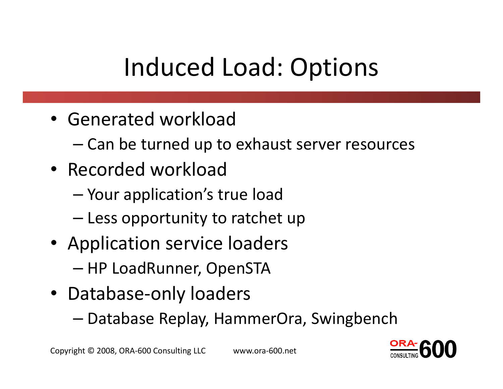## Induced Load: Options

- Generated workload
	- –Can be turned up to exhaust server resources
- Recorded workload
	- and the state of the state Your application's true load
	- – $-$  Less opportunity to ratchet up
- Application service loaders
	- – $-$  HP LoadRunner, OpenSTA
- Database-only loaders
	- –Database Replay, HammerOra, Swingbench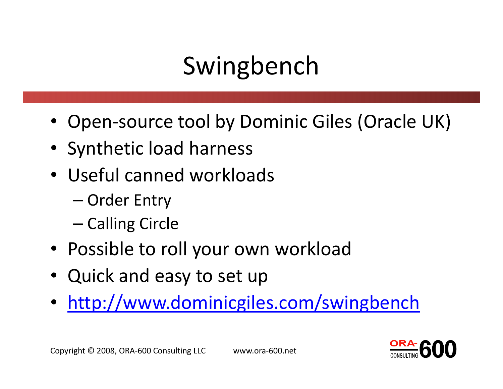## Swingbench

- Open-source tool by Dominic Giles (Oracle UK)
- Synthetic load harness
- Useful canned workloads
	- and the state of the state – Order Entry
	-
- 
- 
- Colling Circle<br>
 Possible to roll your own workload<br>
 Quick and easy to set up<br>
 <u>http://www.dominicgiles.com/swingbench</u><br>
 http://www.dominicgiles.com/swingbench<br>
 Copyright © 2008, ORA-600 Consulting LLC<br>
 WWW.ora-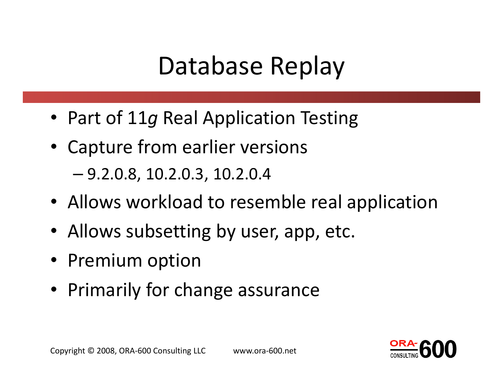## Database Replay

- Part of 11g Real Application Testing
- Capture from earlier versions

–9.2.0.8, 10.2.0.3, 10.2.0.4

- Allows workload to resemble real application
- Allows subsetting by user, app, etc.
- Premium option
- Primarily for change assurance

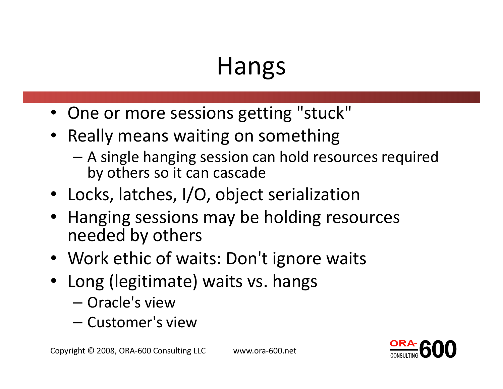- One or more sessions getting "stuck"
- Really means waiting on something
	- A single hanging session can hold resources required by others so it can cascade
- Locks, latches, I/O, object serialization
- Hanging sessions may be holding resources needed by others
- Work ethic of waits: Don't ignore waits
- Long (legitimate) waits vs. hangs
	- Oracle's view
	- $-$  ( lictomaric — Customer's view

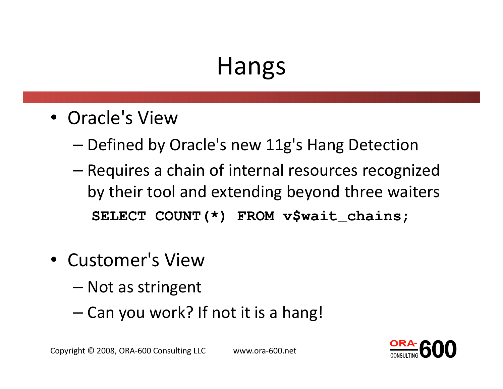- Oracle's View
	- – $-$  Defined by Oracle's new 11g's Hang Detection
	- –- Requires a chain of internal resources recognized by their tool and extending beyond three waiters**SELECT COUNT(\*) FROM v\$wait\_chains;**
- Customer's View
	- –— Not as stringent
	- –— Can you work? If not it is a hang!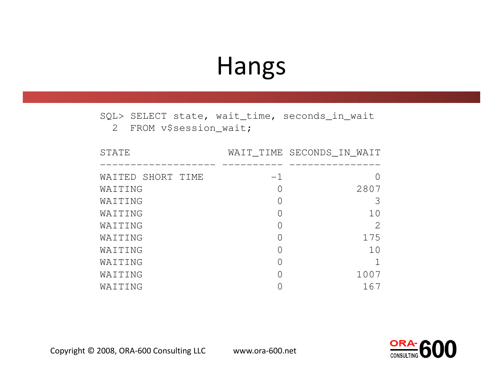SQL> SELECT state, wait\_time, seconds\_in\_wait

2 FROM v\$session\_wait;

| STATE             |                  | WAIT_TIME SECONDS_IN_WAIT |
|-------------------|------------------|---------------------------|
|                   |                  |                           |
| WAITED SHORT TIME | $-1$             |                           |
| WAITING           | $\left( \right)$ | 2807                      |
| WAITING           | O                | 3                         |
| WAITING           | Ω                | 10                        |
| WAITING           | ∩                | 2                         |
| WAITING           | ∩                | 175                       |
| WAITING           |                  | 10                        |
| WAITING           | ∩                |                           |
| WAITING           | ∩                | 1007                      |
| WAITING           |                  | 167                       |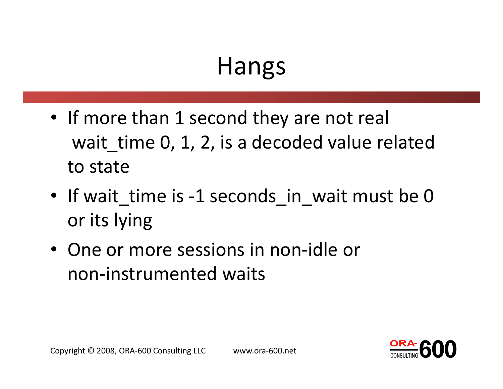- If more than 1 second they are not real wait time 0, 1, 2, is a decoded value related to state
- If wait\_time is -1 seconds\_in\_wait must be 0 or its lying
- One or more sessions in non-idle or non-instrumented waits

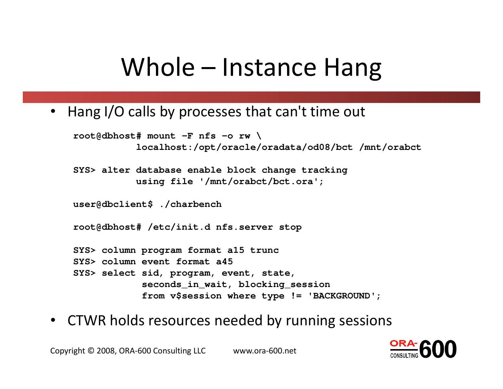#### Whole – Instance Hang

• Hang I/O calls by processes that can't time out

```
root@dbhost# mount -F nfs -o rw \
           localhost:/opt/oracle/oradata/od08/bct /mnt/orabct
```
**SYS> alter database enable block change trackingusing file '/mnt/orabct/bct.ora';**

**user@dbclient\$ ./charbench**

**root@dbhost# /etc/init.d nfs.server stop**

**SYS> column program format a15 truncSYS> column event format a45 SYS> select sid, program, event, state, seconds\_in\_wait, blocking\_sessionfrom v\$session where type != 'BACKGROUND';**

• CTWR holds resources needed by running sessions

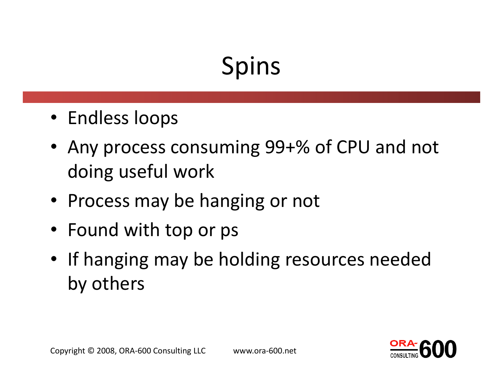# Spins

- Endless loops
- Any process consuming 99+% of CPU and not doing useful work
- Process may be hanging or not
- Found with top or ps
- If hanging may be holding resources needed by others

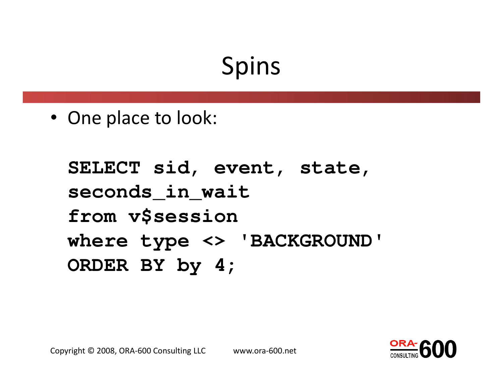## Spins

• One place to look:

```
SELECT sid, event, state, seconds_in_wait
from v$session
where type <> 'BACKGROUND'ORDER BY by 4;
```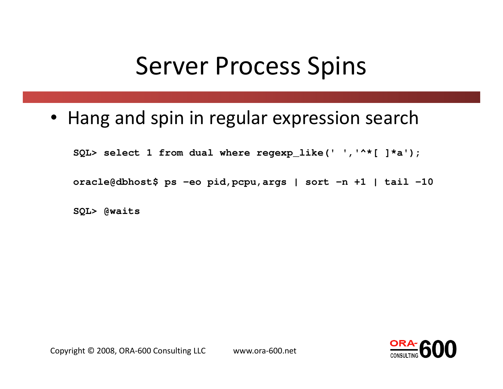#### Server Process Spins

• Hang and spin in regular expression search

**SQL> select 1 from dual where regexp\_like(' ','^\*[ ]\*a');**

**oracle@dbhost\$ ps -eo <sup>p</sup>id,pcpu,args | sort -n +1 | tail -10**

**SQL> @waits**

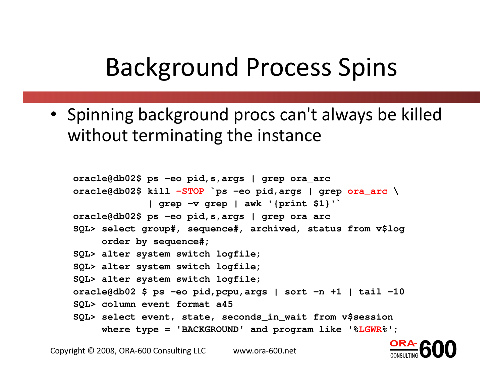#### Background Process Spins

• Spinning background procs can't always be killed without terminating the instance

```
oracle@db02$ ps -eo pid,s,args | grep ora_arc
oracle@db02$ kill -STOP `ps
-eo pid,args | grep ora_arc
\
| grep -v grep | awk '{print $1}'`
oracle@db02$ ps -eo pid,s,args | grep ora_arc
SQL> select group#, sequence#, archived, status from v$logorder by sequence#;
SQL> alter system switch logfile;
SQL> alter system switch logfile;
SQL> alter system switch logfile;
oracle@db02 $ ps -eo pid,pcpu,args | sort -n +1 | tail -10
SQL> column event format a45
SQL> select event, state, seconds_in_wait from v$session
     where type = 'BACKGROUND' and program like '%LGWR%';
```
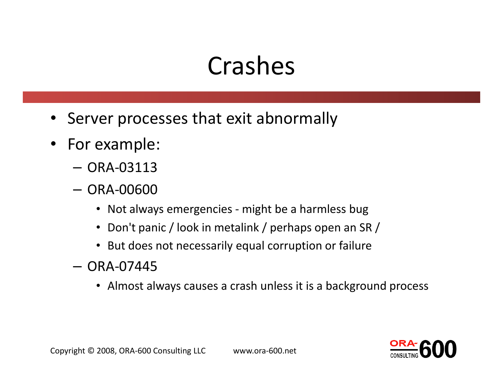## Crashes

- Server processes that exit abnormally
- For example:
	- ORA-03113
	- ORA-00600
		-
		-
		-
	-
- Not always emergencies might be a harmless bug<br>
 Don't panic / look in metalink / perhaps open an SR /<br>
 But does not necessarily equal corruption or failure<br>
 ORA-07445<br>
 Almost always causes a crash unless it is

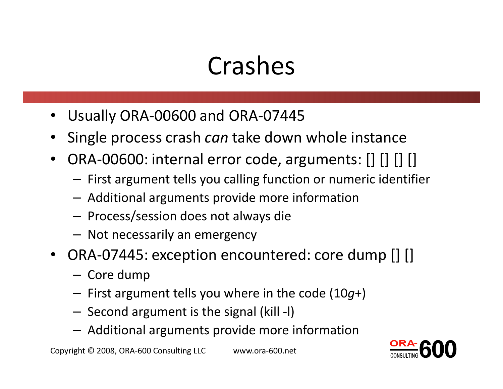## Crashes

- •Usually ORA-00600 and ORA-07445
- $\bullet$ • Single process crash *can* take down whole instance
- $\bullet$  ORA-00600: internal error code, arguments: [] [] [] []
	- – $-$  First argument tells you calling function or numeric identifier
	- Additional arguments provide more information
	-
	-
- Process/session does not always die<br>
 Not necessarily an emergency<br>
 ORA-07445: exception encountered: core dump [] []<br>
 Core dump<br>
 First argument tells you where in the code (10g+)<br>
 Second argument is the signal
	-
	-
	-
	-

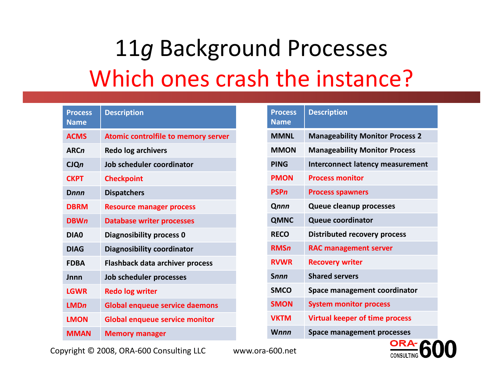### 11g Background Processes Which ones crash the instance?

| <b>Process</b><br><b>Name</b> | <b>Description</b>                    | <b>Process</b><br><b>Name</b> | <b>Description</b>                      |
|-------------------------------|---------------------------------------|-------------------------------|-----------------------------------------|
| <b>ACMS</b>                   | Atomic controlfile to memory server   | <b>MMNL</b>                   | <b>Manageability Monitor Process 2</b>  |
| <b>ARCn</b>                   | <b>Redo log archivers</b>             | <b>MMON</b>                   | <b>Manageability Monitor Process</b>    |
| CIQn                          | Job scheduler coordinator             | <b>PING</b>                   | <b>Interconnect latency measurement</b> |
| <b>CKPT</b>                   | <b>Checkpoint</b>                     | <b>PMON</b>                   | <b>Process monitor</b>                  |
| Dnnn                          | <b>Dispatchers</b>                    | <b>PSPn</b>                   | <b>Process spawners</b>                 |
| <b>DBRM</b>                   | <b>Resource manager process</b>       | Qnnn                          | <b>Queue cleanup processes</b>          |
| <b>DBWn</b>                   | <b>Database writer processes</b>      | <b>QMNC</b>                   | <b>Queue coordinator</b>                |
| DIA0                          | Diagnosibility process 0              | <b>RECO</b>                   | <b>Distributed recovery process</b>     |
| <b>DIAG</b>                   | <b>Diagnosibility coordinator</b>     | <b>RMSn</b>                   | <b>RAC management server</b>            |
| <b>FDBA</b>                   | Flashback data archiver process       | <b>RVWR</b>                   | <b>Recovery writer</b>                  |
| Jnnn                          | Job scheduler processes               | <b>Snnn</b>                   | <b>Shared servers</b>                   |
| <b>LGWR</b>                   | <b>Redo log writer</b>                | <b>SMCO</b>                   | Space management coordinator            |
| <b>LMDn</b>                   | <b>Global enqueue service daemons</b> | <b>SMON</b>                   | <b>System monitor process</b>           |
| <b>LMON</b>                   | <b>Global enqueue service monitor</b> | <b>VKTM</b>                   | <b>Virtual keeper of time process</b>   |
| <b>MMAN</b>                   | <b>Memory manager</b>                 | <b>Wnnn</b>                   | Space management processes              |

Copyright © 2008, ORA-600 Consulting LLC www.ora-600.net

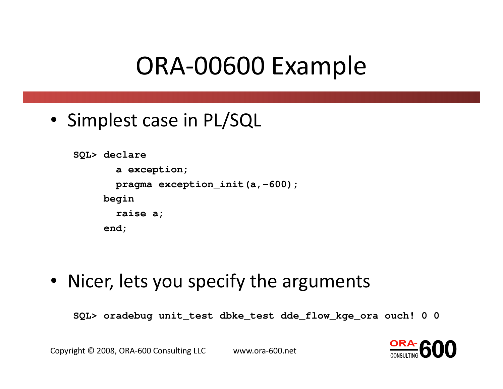#### ORA-00600 Example

• Simplest case in PL/SQL

```
SQL> declarea exception;pragma exception_init(a,-600);
    beginraise a;end;
```
• Nicer, lets you specify the arguments

**SQL> oradebug unit\_test dbke\_test dde\_flow\_kge\_ora ouch! 0 0**

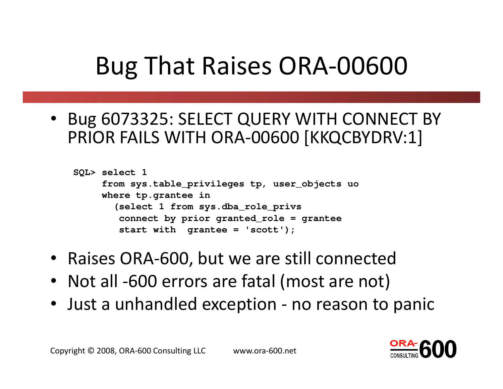## Bug That Raises ORA-00600

• Bug 6073325: SELECT QUERY WITH CONNECT BY PRIOR FAILS WITH ORA-00600 [KKQCBYDRV:1]

```
SQL> select 1
from sys.table_privileges tp, user_objects uo
     where tp.grantee in
       (select 1 from sys.dba_role_privs
connect by prior granted_role = grantee
        start with grantee = 'scott');
```
- Raises ORA-600, but we are still connected
- Not all -600 errors are fatal (most are not)
- Just a unhandled exception no reason to panic

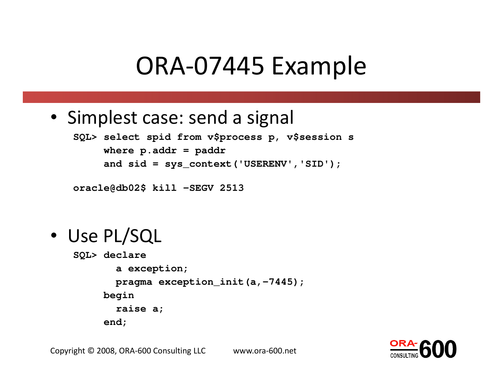#### ORA-07445 Example

• Simplest case: send a signal

```
SQL> select spid from v$process p, v$session s
    where p.addr = paddr
    and sid = sys_context('USERENV','SID');
```
**oracle@db02\$ kill -SEGV 2513**

• Use PL/SQL

```
SQL> declare
a exception;
pragma exception_init(a,-7445);
     begin
raise a;end;
```
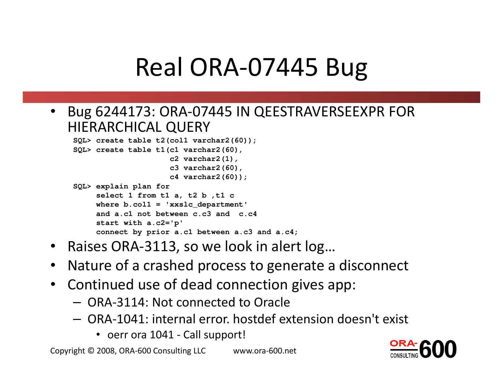## Real ORA-07445 Bug

• Bug 6244173: ORA-07445 IN QEESTRAVERSEEXPR FOR HIERARCHICAL QUERY

```

SQL> create table t2(col1 varchar2(60));SQL> create table t1(c1 varchar2(60),c2 varchar2(1),
c3 varchar2(60),
c4 varchar2(60));SQL> explain plan for
select 1 from t1 a, t2 b ,t1 c
where b.col1 = 'xxslc_department'
     and a.c1 not between c.c3 and c.c4start with a.c2='p'
connect by prior a.c1 between a.c3 and a.c4;
```
- Raises ORA-3113, so we look in alert log…
- Nature of a crashed process to generate a disconnect $\bullet$
- Continued use of dead connection gives app:
	- ORA-3114: Not connected to Oracle
	- ORA-1041: internal error. hostdef extension doesn't exis t
		- oerr ora 1041 Call support!

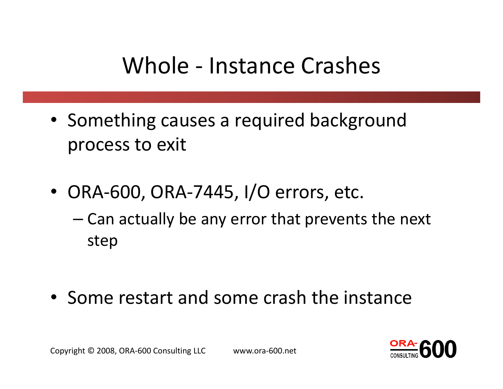#### Whole - Instance Crashes

- Something causes a required background process to exit
- ORA-600, ORA-7445, I/O errors, etc.
	- – Can actually be any error that prevents the next step
- Some restart and some crash the instance

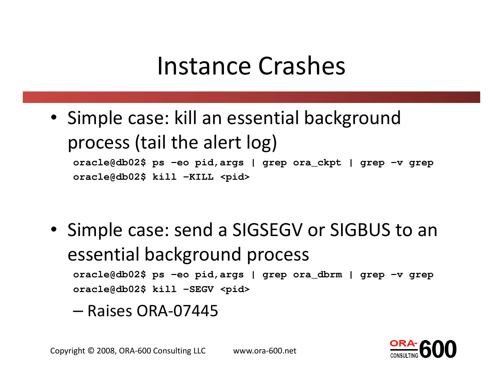#### Instance Crashes

• Simple case: kill an essential background process (tail the alert log)**oracle@db02\$ ps -eo <sup>p</sup>id,args | grep ora\_ckpt | grep -v grep oracle@db02\$ kill -KILL <pid>**

- Simple case: send a SIGSEGV or SIGBUS to an essential background process**oracle@db02\$ ps -eo <sup>p</sup>id,args | grep ora\_dbrm | grep -v grep oracle@db02\$ kill -SEGV <pid>**
	- –— Raises ORA-07445

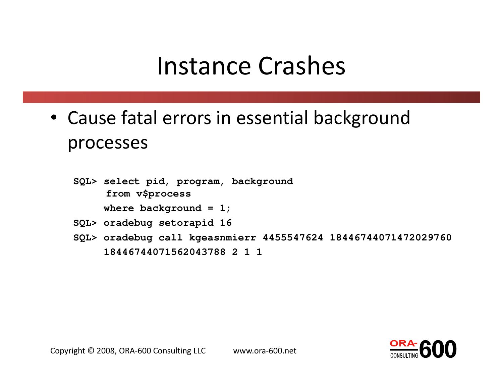#### Instance Crashes

- Cause fatal errors in essential background processes
	- **SQL> select pid, program, backgroundfrom v\$process**

**where background = 1;**

- **SQL> oradebug setorapid <sup>16</sup>**
- **SQL> oradebug call kgeasnmierr 4455547624 18446744071472029760 18446744071562043788 2 1 1**

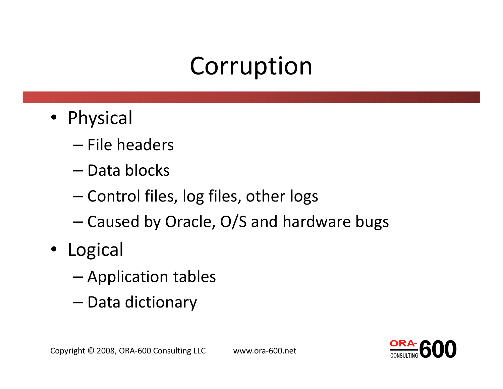## Corruption

- Physical
	- –— File headers
	- –— Data blocks
	- and the state of the state — Control files, log files, other logs
- Caused by Oracle, O/S and hardware bugs<br>• Logical<br>- Application tables<br>- Data dictionary<br><sub>Copyright © 2008, ORA-600 Consulting LLC</sub> www.ora-600.net
- -
	-

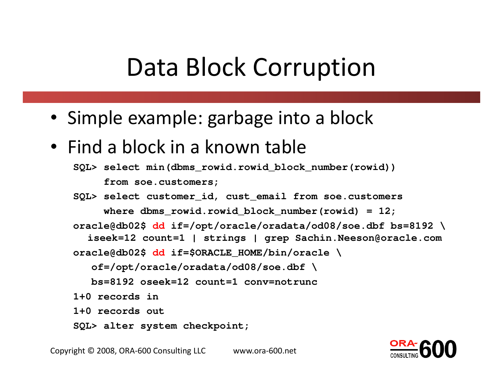#### Data Block Corruption

- Simple example: garbage into a block
- Find a block in a known table

```

SQL> select min(dbms_rowid.rowid_block_number(rowid))from soe.customers;
```
**SQL> select customer\_id, cust\_email from soe.customers** where dbms rowid.rowid block number(rowid) = 12; **oracle@db02\$ dd if=/opt/oracle/oradata/od08/soe.dbf bs=8192 \ iseek=12 count=1 | strings | grep Sachin.Neeson@oracle.com oracle@db02\$ dd if=\$ORACLE\_HOME/bin/oracle \ of=/opt/oracle/oradata/od08/soe.dbf \bs=8192 oseek=12 count=1 conv=notrunc1+0 records in1+0 records out**

**SQL> alter system checkpoint;**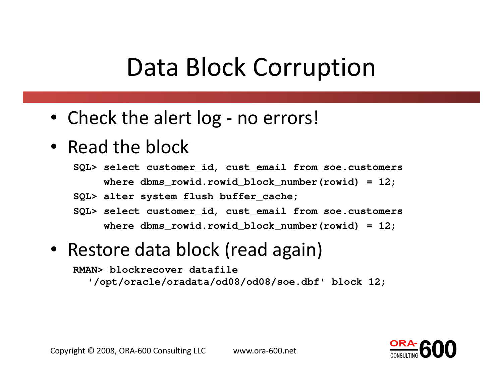#### Data Block Corruption

- Check the alert log no errors!
- Read the block

 **SQL> select customer\_id, cust\_email from soe.customers** where dbms rowid.rowid block number(rowid) = 12;

**SQL> alter system flush buffer\_cache;**

**SQL> select customer\_id, cust\_email from soe.customers** where dbms rowid.rowid block number(rowid) = 12;

#### • Restore data block (read again)

**RMAN> blockrecover datafile**

**'/opt/oracle/oradata/od08/od08/soe.dbf' block 12;**

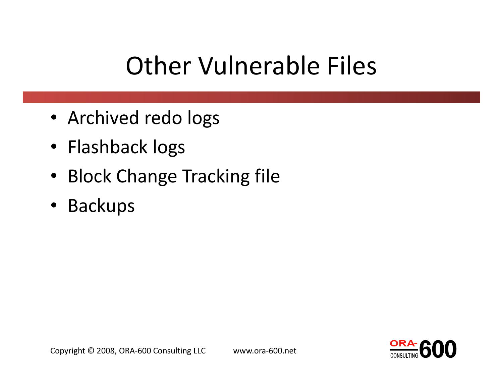## Other Vulnerable Files

- Archived redo logs
- Flashback logs
- Block Change Tracking file
- Backups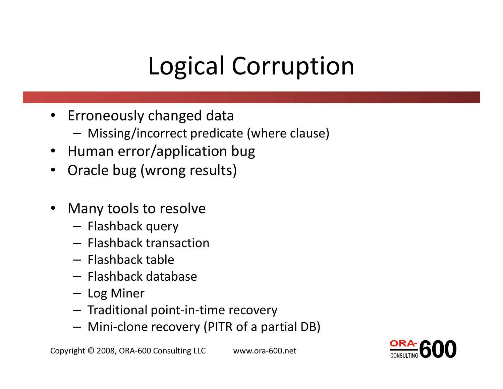## Logical Corruption

- Erroneously changed data
	- Missing/incorrect predicate (where clause)
- Human error/application bug
- $\bullet$ Oracle bug (wrong results)
- $\bullet$  Many tools to resolve
	- Flashback query
	- **Flashback transaction**
	- –— Flashback table
	- Flashback database
	- Log Miner
	- Traditional point-in-time recovery
	- Mini-clone recovery (PITR of a partial DB)

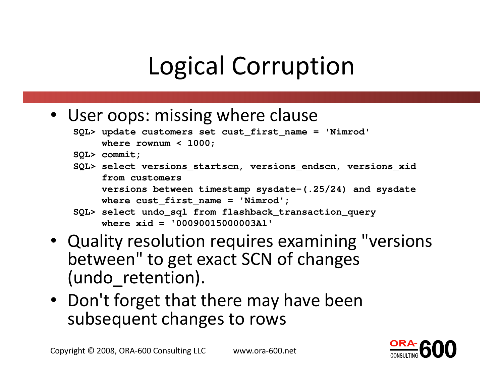## Logical Corruption

- User oops: missing where clause
	- **SQL> update customers set cust\_first\_name <sup>=</sup>'Nimrod' where rownum < 1000;**
	- **SQL> commit;**
	- **SQL> select versions\_startscn, versions\_endscn, versions\_xidfrom customers**

```

versions between timestamp sysdate-(.25/24) and sysdatewhere cust_first_name ='Nimrod';
```
- **SQL> select undo\_sql from flashback\_transaction\_query where xid <sup>=</sup>'00090015000003A1'**
- Quality resolution requires examining "versions between" to get exact SCN of changes (undo retention).
- Don't forget that there may have been subsequent changes to rows

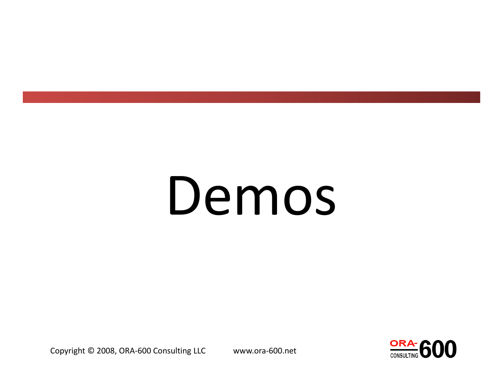# Demos

Copyright © 2008, ORA-600 Consulting LLC www.ora-600.net

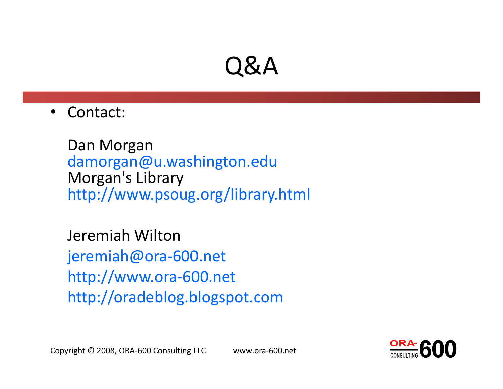#### Q&A

 $\bullet$ Contact:

> Dan Morgan damorgan@u.washington.eduMorgan's Libraryhttp://www.psoug.org/library.html

Jeremiah Wilton jeremiah@ora-600.nethttp://www.ora-600.nethttp://oradeblog.blogspot.com